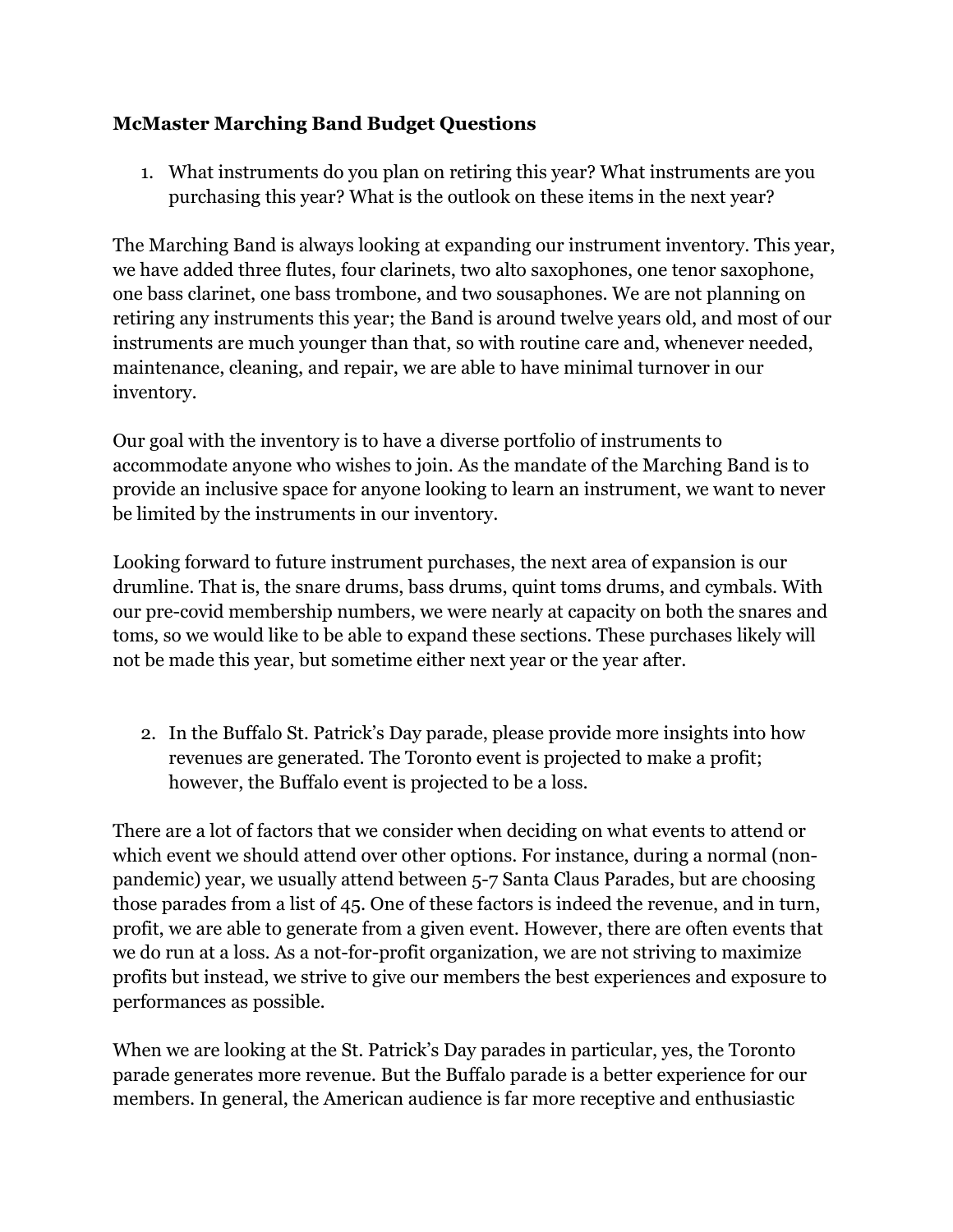## **McMaster Marching Band Budget Questions**

1. What instruments do you plan on retiring this year? What instruments are you purchasing this year? What is the outlook on these items in the next year?

The Marching Band is always looking at expanding our instrument inventory. This year, we have added three flutes, four clarinets, two alto saxophones, one tenor saxophone, one bass clarinet, one bass trombone, and two sousaphones. We are not planning on retiring any instruments this year; the Band is around twelve years old, and most of our instruments are much younger than that, so with routine care and, whenever needed, maintenance, cleaning, and repair, we are able to have minimal turnover in our inventory.

Our goal with the inventory is to have a diverse portfolio of instruments to accommodate anyone who wishes to join. As the mandate of the Marching Band is to provide an inclusive space for anyone looking to learn an instrument, we want to never be limited by the instruments in our inventory.

Looking forward to future instrument purchases, the next area of expansion is our drumline. That is, the snare drums, bass drums, quint toms drums, and cymbals. With our pre-covid membership numbers, we were nearly at capacity on both the snares and toms, so we would like to be able to expand these sections. These purchases likely will not be made this year, but sometime either next year or the year after.

2. In the Buffalo St. Patrick's Day parade, please provide more insights into how revenues are generated. The Toronto event is projected to make a profit; however, the Buffalo event is projected to be a loss.

There are a lot of factors that we consider when deciding on what events to attend or which event we should attend over other options. For instance, during a normal (nonpandemic) year, we usually attend between 5-7 Santa Claus Parades, but are choosing those parades from a list of 45. One of these factors is indeed the revenue, and in turn, profit, we are able to generate from a given event. However, there are often events that we do run at a loss. As a not-for-profit organization, we are not striving to maximize profits but instead, we strive to give our members the best experiences and exposure to performances as possible.

When we are looking at the St. Patrick's Day parades in particular, yes, the Toronto parade generates more revenue. But the Buffalo parade is a better experience for our members. In general, the American audience is far more receptive and enthusiastic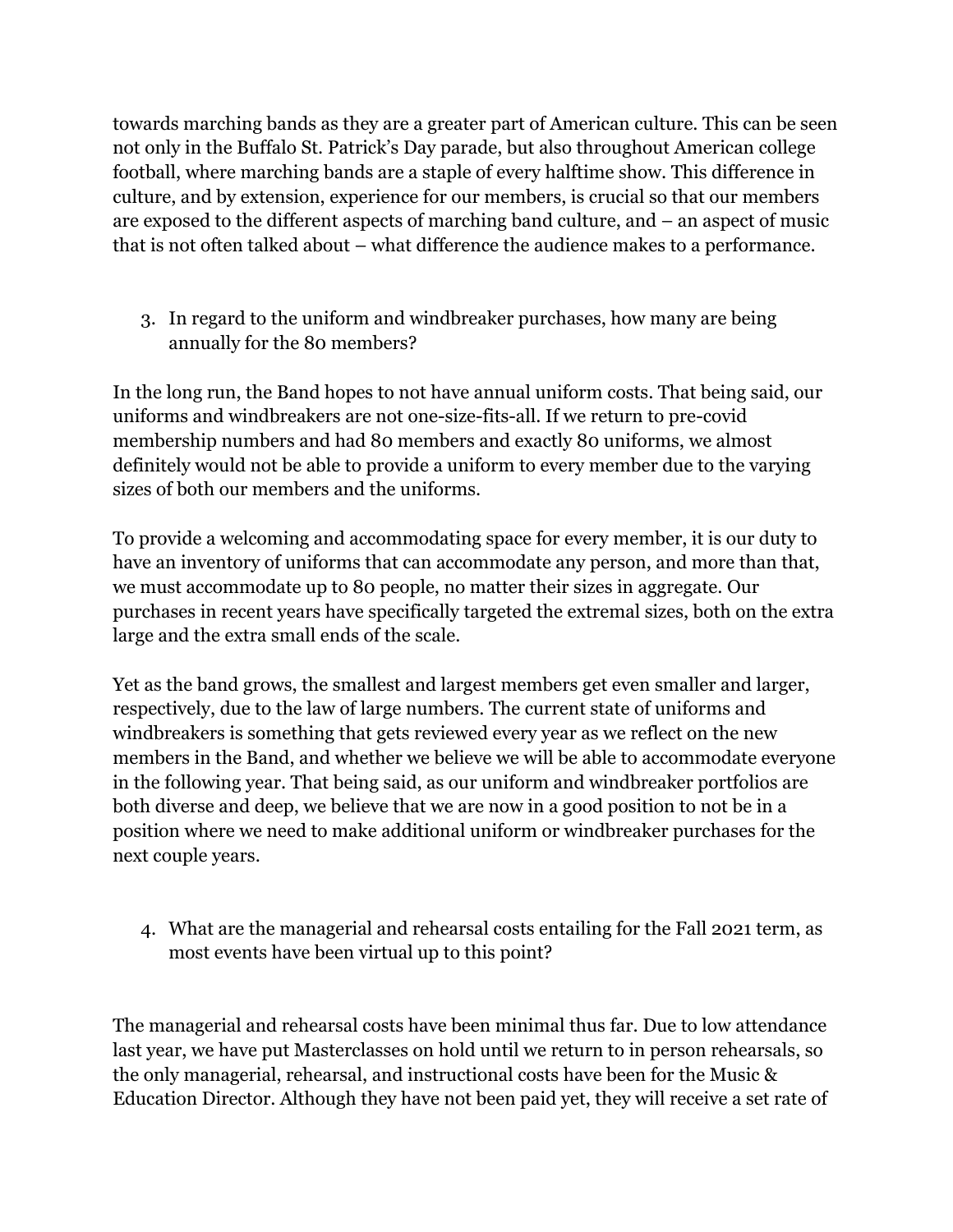towards marching bands as they are a greater part of American culture. This can be seen not only in the Buffalo St. Patrick's Day parade, but also throughout American college football, where marching bands are a staple of every halftime show. This difference in culture, and by extension, experience for our members, is crucial so that our members are exposed to the different aspects of marching band culture, and – an aspect of music that is not often talked about – what difference the audience makes to a performance.

3. In regard to the uniform and windbreaker purchases, how many are being annually for the 80 members?

In the long run, the Band hopes to not have annual uniform costs. That being said, our uniforms and windbreakers are not one-size-fits-all. If we return to pre-covid membership numbers and had 80 members and exactly 80 uniforms, we almost definitely would not be able to provide a uniform to every member due to the varying sizes of both our members and the uniforms.

To provide a welcoming and accommodating space for every member, it is our duty to have an inventory of uniforms that can accommodate any person, and more than that, we must accommodate up to 80 people, no matter their sizes in aggregate. Our purchases in recent years have specifically targeted the extremal sizes, both on the extra large and the extra small ends of the scale.

Yet as the band grows, the smallest and largest members get even smaller and larger, respectively, due to the law of large numbers. The current state of uniforms and windbreakers is something that gets reviewed every year as we reflect on the new members in the Band, and whether we believe we will be able to accommodate everyone in the following year. That being said, as our uniform and windbreaker portfolios are both diverse and deep, we believe that we are now in a good position to not be in a position where we need to make additional uniform or windbreaker purchases for the next couple years.

4. What are the managerial and rehearsal costs entailing for the Fall 2021 term, as most events have been virtual up to this point?

The managerial and rehearsal costs have been minimal thus far. Due to low attendance last year, we have put Masterclasses on hold until we return to in person rehearsals, so the only managerial, rehearsal, and instructional costs have been for the Music & Education Director. Although they have not been paid yet, they will receive a set rate of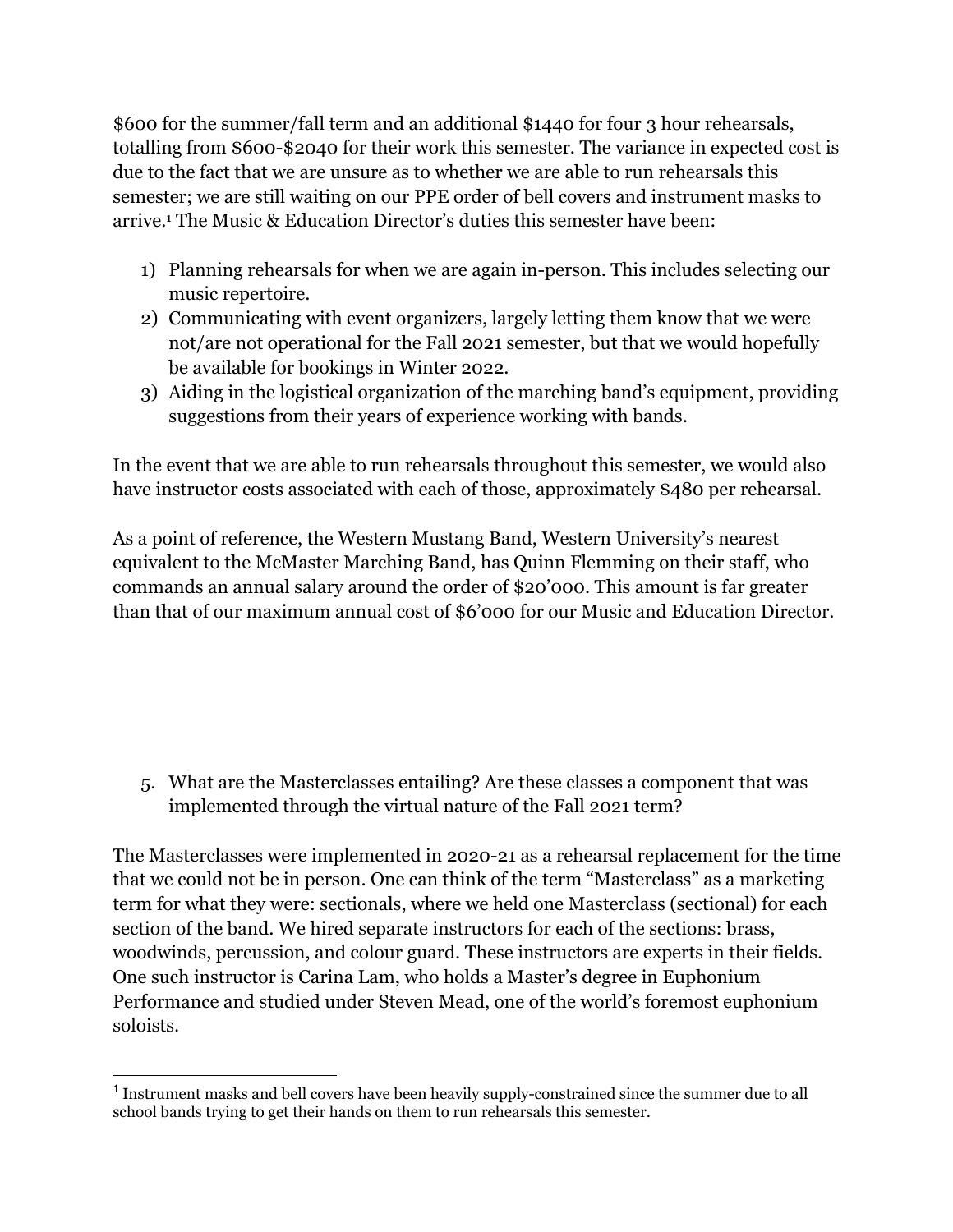\$600 for the summer/fall term and an additional \$1440 for four 3 hour rehearsals, totalling from \$600-\$2040 for their work this semester. The variance in expected cost is due to the fact that we are unsure as to whether we are able to run rehearsals this semester; we are still waiting on our PPE order of bell covers and instrument masks to arrive.1 The Music & Education Director's duties this semester have been:

- 1) Planning rehearsals for when we are again in-person. This includes selecting our music repertoire.
- 2) Communicating with event organizers, largely letting them know that we were not/are not operational for the Fall 2021 semester, but that we would hopefully be available for bookings in Winter 2022.
- 3) Aiding in the logistical organization of the marching band's equipment, providing suggestions from their years of experience working with bands.

In the event that we are able to run rehearsals throughout this semester, we would also have instructor costs associated with each of those, approximately \$480 per rehearsal.

As a point of reference, the Western Mustang Band, Western University's nearest equivalent to the McMaster Marching Band, has Quinn Flemming on their staff, who commands an annual salary around the order of \$20'000. This amount is far greater than that of our maximum annual cost of \$6'000 for our Music and Education Director.

5. What are the Masterclasses entailing? Are these classes a component that was implemented through the virtual nature of the Fall 2021 term?

The Masterclasses were implemented in 2020-21 as a rehearsal replacement for the time that we could not be in person. One can think of the term "Masterclass" as a marketing term for what they were: sectionals, where we held one Masterclass (sectional) for each section of the band. We hired separate instructors for each of the sections: brass, woodwinds, percussion, and colour guard. These instructors are experts in their fields. One such instructor is Carina Lam, who holds a Master's degree in Euphonium Performance and studied under Steven Mead, one of the world's foremost euphonium soloists.

<sup>1</sup> Instrument masks and bell covers have been heavily supply-constrained since the summer due to all school bands trying to get their hands on them to run rehearsals this semester.